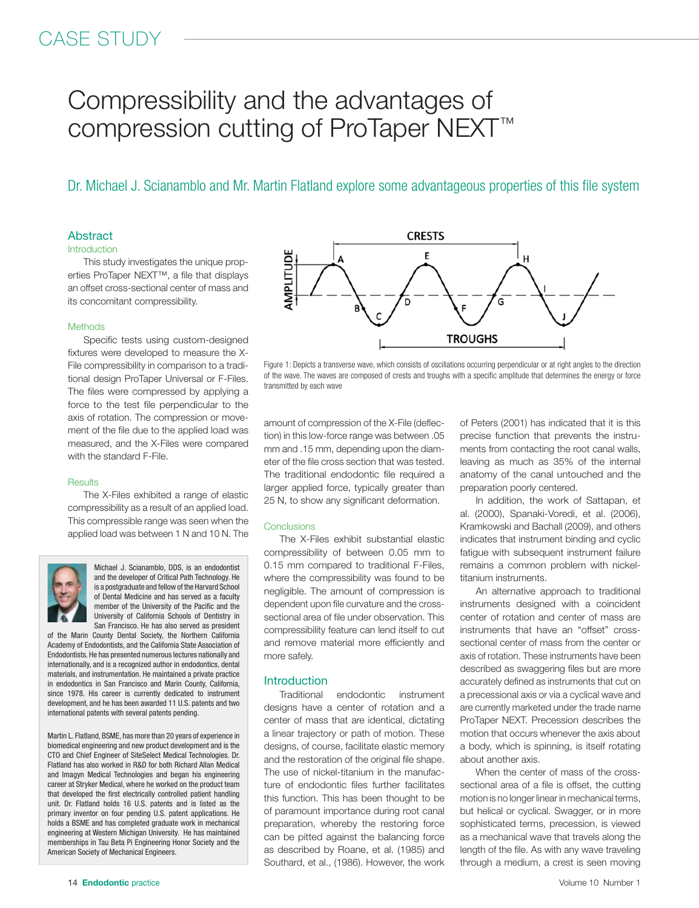# CASE STUDY

# Compressibility and the advantages of compression cutting of ProTaper NEXT™

Dr. Michael J. Scianamblo and Mr. Martin Flatland explore some advantageous properties of this file system

#### **Abstract**

#### **Introduction**

This study investigates the unique properties ProTaper NEXT™, a file that displays an offset cross-sectional center of mass and its concomitant compressibility.

#### **Methods**

Specific tests using custom-designed fixtures were developed to measure the X-File compressibility in comparison to a traditional design ProTaper Universal or F-Files. The files were compressed by applying a force to the test file perpendicular to the axis of rotation. The compression or movement of the file due to the applied load was measured, and the X-Files were compared with the standard F-File.

#### **Results**

The X-Files exhibited a range of elastic compressibility as a result of an applied load. This compressible range was seen when the applied load was between 1 N and 10 N. The



Michael J. Scianamblo, DDS, is an endodontist and the developer of Critical Path Technology. He is a postgraduate and fellowof the Harvard School of Dental Medicine and has served as a faculty member of the University of the Pacific and the University of California Schools of Dentistry in San Francisco. He has also served as president

of the Marin County Dental Society, the Northern California Academy of Endodontists, and the California State Association of Endodontists. He has presented numerous lectures nationally and internationally, and is a recognized author in endodontics, dental materials, and instrumentation. He maintained a private practice in endodontics in San Francisco and Marin County, California, since 1978. His career is currently dedicated to instrument development, and he has been awarded 11 U.S. patents and two international patents with several patents pending.

Martin L. Flatland, BSME, has more than 20 years of experience in biomedical engineering and new product development and is the CTO and Chief Engineer of SiteSelect Medical Technologies. Dr. Flatland has also worked in R&D for both Richard Allan Medical and Imagyn Medical Technologies and began his engineering career at Stryker Medical, where he worked on the product team that developed the first electrically controlled patient handling unit. Dr. Flatland holds 16 U.S. patents and is listed as the primary inventor on four pending U.S. patent applications. He holds a BSME and has completed graduate work in mechanical engineering at Western Michigan University. He has maintained memberships in Tau Beta Pi Engineering Honor Society and the American Society of Mechanical Engineers.



Figure 1: Depicts a transverse wave, which consists of oscillations occurring perpendicular or at right angles to the direction of the wave. The waves are composed of crests and troughs with a specific amplitude that determines the energy or force transmitted by each wave

amount of compression of the X-File (deflection) in this low-force range was between .05 mm and .15 mm, depending upon the diameter of the file cross section that was tested. The traditional endodontic file required a larger applied force, typically greater than 25 N, to show any significant deformation.

#### **Conclusions**

The X-Files exhibit substantial elastic compressibility of between 0.05 mm to 0.15 mm compared to traditional F-Files, where the compressibility was found to be negligible. The amount of compression is dependent upon file curvature and the crosssectional area of file under observation. This compressibility feature can lend itself to cut and remove material more efficiently and more safely.

#### Introduction

Traditional endodontic instrument designs have a center of rotation and a center of mass that are identical, dictating a linear trajectory or path of motion. These designs, of course, facilitate elastic memory and the restoration of the original file shape. The use of nickel-titanium in the manufacture of endodontic files further facilitates this function. This has been thought to be of paramount importance during root canal preparation, whereby the restoring force can be pitted against the balancing force as described by Roane, et al. (1985) and Southard, et al., (1986). However, the work

of Peters (2001) has indicated that it is this precise function that prevents the instruments from contacting the root canal walls, leaving as much as 35% of the internal anatomy of the canal untouched and the preparation poorly centered.

In addition, the work of Sattapan, et al. (2000), Spanaki-Voredi, et al. (2006), Kramkowski and Bachall (2009), and others indicates that instrument binding and cyclic fatigue with subsequent instrument failure remains a common problem with nickeltitanium instruments.

An alternative approach to traditional instruments designed with a coincident center of rotation and center of mass are instruments that have an "offset" crosssectional center of mass from the center or axis of rotation. These instruments have been described as swaggering files but are more accurately defined as instruments that cut on a precessional axis or via a cyclical wave and are currently marketed under the trade name ProTaper NEXT. Precession describes the motion that occurs whenever the axis about a body, which is spinning, is itself rotating about another axis.

When the center of mass of the crosssectional area of a file is offset, the cutting motion is no longer linear in mechanical terms, but helical or cyclical. Swagger, or in more sophisticated terms, precession, is viewed as a mechanical wave that travels along the length of the file. As with any wave traveling through a medium, a crest is seen moving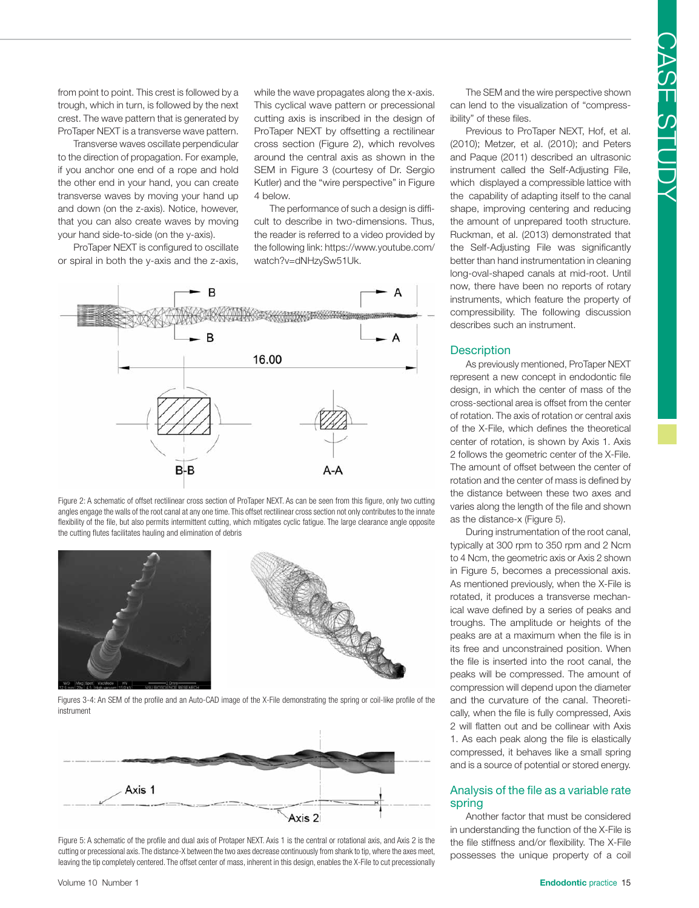from point to point. This crest is followed by a trough, which in turn, is followed by the next crest. The wave pattern that is generated by ProTaper NEXT is a transverse wave pattern.

Transverse waves oscillate perpendicular to the direction of propagation. For example, if you anchor one end of a rope and hold the other end in your hand, you can create transverse waves by moving your hand up and down (on the z-axis). Notice, however, that you can also create waves by moving your hand side-to-side (on the y-axis).

ProTaper NEXT is configured to oscillate or spiral in both the y-axis and the z-axis,

while the wave propagates along the x-axis. This cyclical wave pattern or precessional cutting axis is inscribed in the design of ProTaper NEXT by offsetting a rectilinear cross section (Figure 2), which revolves around the central axis as shown in the SEM in Figure 3 (courtesy of Dr. Sergio Kutler) and the "wire perspective" in Figure 4 below.

The performance of such a design is difficult to describe in two-dimensions. Thus, the reader is referred to a video provided by the following link: https://www.youtube.com/ watch?v=dNHzySw51Uk.



Figure 2: A schematic of offset rectilinear cross section of ProTaper NEXT. As can be seen from this figure, only two cutting angles engage the walls of the root canal at any one time. This offset rectilinear cross section not only contributes to the innate flexibility of the file, but also permits intermittent cutting, which mitigates cyclic fatigue. The large clearance angle opposite the cutting flutes facilitates hauling and elimination of debris







Figure 5: A schematic of the profile and dual axis of Protaper NEXT. Axis 1 is the central or rotational axis, and Axis 2 is the cutting or precessional axis. The distance-X between the two axes decrease continuously from shank to tip, where the axes meet, leaving the tip completely centered. The offset center of mass, inherent in this design, enables the X-File to cut precessionally

The SEM and the wire perspective shown can lend to the visualization of "compressibility" of these files.

Previous to ProTaper NEXT, Hof, et al. (2010); Metzer, et al. (2010); and Peters and Paque (2011) described an ultrasonic instrument called the Self-Adjusting File, which displayed a compressible lattice with the capability of adapting itself to the canal shape, improving centering and reducing the amount of unprepared tooth structure. Ruckman, et al. (2013) demonstrated that the Self-Adjusting File was significantly better than hand instrumentation in cleaning long-oval-shaped canals at mid-root. Until now, there have been no reports of rotary instruments, which feature the property of compressibility. The following discussion describes such an instrument.

### **Description**

As previously mentioned, ProTaper NEXT represent a new concept in endodontic file design, in which the center of mass of the cross-sectional area is offset from the center of rotation. The axis of rotation or central axis of the X-File, which defines the theoretical center of rotation, is shown by Axis 1. Axis 2 follows the geometric center of the X-File. The amount of offset between the center of rotation and the center of mass is defined by the distance between these two axes and varies along the length of the file and shown as the distance-x (Figure 5).

During instrumentation of the root canal, typically at 300 rpm to 350 rpm and 2 Ncm to 4 Ncm, the geometric axis or Axis 2 shown in Figure 5, becomes a precessional axis. As mentioned previously, when the X-File is rotated, it produces a transverse mechanical wave defined by a series of peaks and troughs. The amplitude or heights of the peaks are at a maximum when the file is in its free and unconstrained position. When the file is inserted into the root canal, the peaks will be compressed. The amount of compression will depend upon the diameter and the curvature of the canal. Theoretically, when the file is fully compressed, Axis 2 will flatten out and be collinear with Axis 1. As each peak along the file is elastically compressed, it behaves like a small spring and is a source of potential or stored energy.

# Analysis of the file as a variable rate spring

Another factor that must be considered in understanding the function of the X-File is the file stiffness and/or flexibility. The X-File possesses the unique property of a coil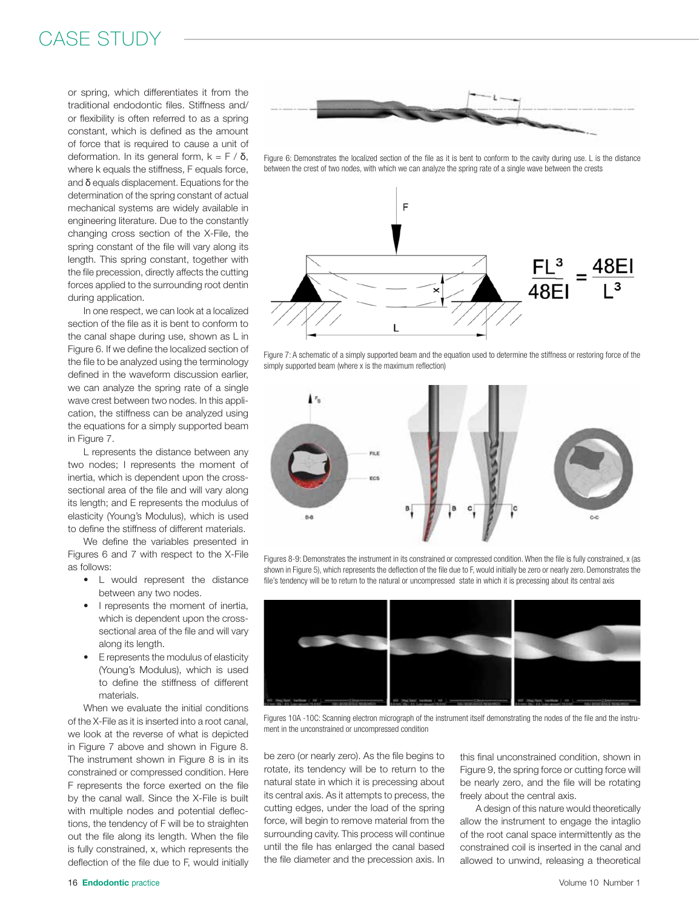# CASE STUDY

or spring, which differentiates it from the traditional endodontic files. Stiffness and/ or flexibility is often referred to as a spring constant, which is defined as the amount of force that is required to cause a unit of deformation. In its general form,  $k = F / δ$ , where k equals the stiffness, F equals force, and δ equals displacement. Equations for the determination of the spring constant of actual mechanical systems are widely available in engineering literature. Due to the constantly changing cross section of the X-File, the spring constant of the file will vary along its length. This spring constant, together with the file precession, directly affects the cutting forces applied to the surrounding root dentin during application.

In one respect, we can look at a localized section of the file as it is bent to conform to the canal shape during use, shown as L in Figure 6. If we define the localized section of the file to be analyzed using the terminology defined in the waveform discussion earlier, we can analyze the spring rate of a single wave crest between two nodes. In this application, the stiffness can be analyzed using the equations for a simply supported beam in Figure 7.

L represents the distance between any two nodes; I represents the moment of inertia, which is dependent upon the crosssectional area of the file and will vary along its length; and E represents the modulus of elasticity (Young's Modulus), which is used to define the stiffness of different materials.

We define the variables presented in Figures 6 and 7 with respect to the X-File as follows:

- L would represent the distance between any two nodes.
- I represents the moment of inertia. which is dependent upon the crosssectional area of the file and will vary along its length.
- E represents the modulus of elasticity (Young's Modulus), which is used to define the stiffness of different materials.

When we evaluate the initial conditions of the X-File as it is inserted into a root canal, we look at the reverse of what is depicted in Figure 7 above and shown in Figure 8. The instrument shown in Figure 8 is in its constrained or compressed condition. Here F represents the force exerted on the file by the canal wall. Since the X-File is built with multiple nodes and potential deflections, the tendency of F will be to straighten out the file along its length. When the file is fully constrained, x, which represents the deflection of the file due to F, would initially



Figure 6: Demonstrates the localized section of the file as it is bent to conform to the cavity during use. L is the distance between the crest of two nodes, with which we can analyze the spring rate of a single wave between the crests



Figure 7: A schematic of a simply supported beam and the equation used to determine the stiffness or restoring force of the simply supported beam (where x is the maximum reflection)



Figures 8-9: Demonstrates the instrument in its constrained or compressed condition. When the file is fully constrained, x (as shown in Figure 5), which represents the deflection of the file due to F, would initially be zero or nearly zero. Demonstrates the file's tendency will be to return to the natural or uncompressed state in which it is precessing about its central axis



Figures 10A -10C: Scanning electron micrograph of the instrument itself demonstrating the nodes of the file and the instrument in the unconstrained or uncompressed condition

be zero (or nearly zero). As the file begins to rotate, its tendency will be to return to the natural state in which it is precessing about its central axis. As it attempts to precess, the cutting edges, under the load of the spring force, will begin to remove material from the surrounding cavity. This process will continue until the file has enlarged the canal based the file diameter and the precession axis. In

this final unconstrained condition, shown in Figure 9, the spring force or cutting force will be nearly zero, and the file will be rotating freely about the central axis.

A design of this nature would theoretically allow the instrument to engage the intaglio of the root canal space intermittently as the constrained coil is inserted in the canal and allowed to unwind, releasing a theoretical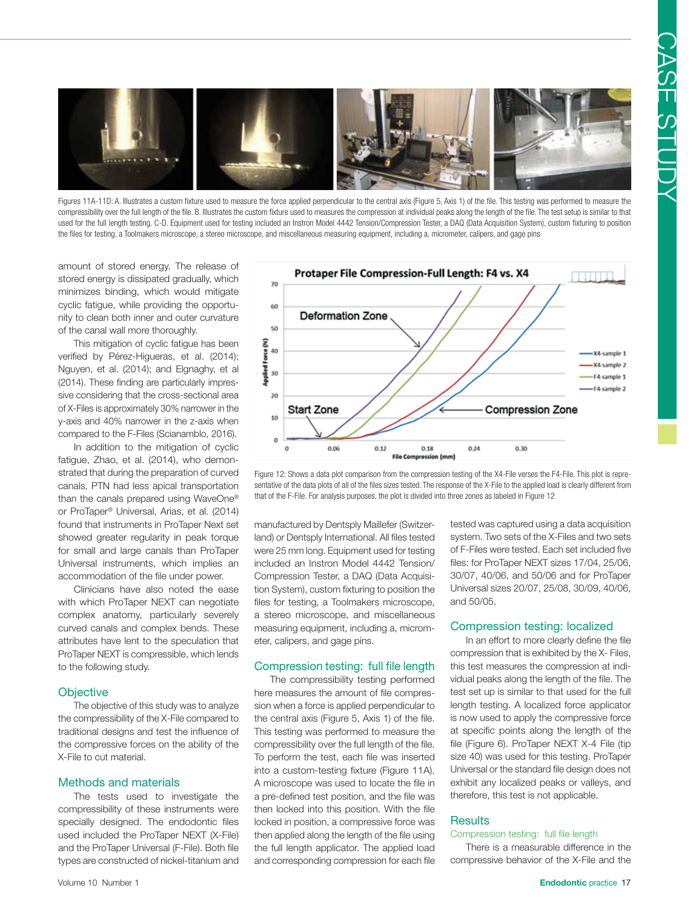

Figures 11A-11D: A. Illustrates a custom fixture used to measure the force applied perpendicular to the central axis (Figure 5, Axis 1) of the file. This testing was performed to measure the compressibility over the full length of the file. B. Illustrates the custom fixture used to measures the compression at individual peaks along the length of the file. The test setup is similar to that used for the full length testing. C-D. Equipment used for testing included an Instron Model 4442 Tension/Compression Tester, a DAQ (Data Acquisition System), custom fixturing to position the files for testing, a Toolmakers microscope, a stereo microscope, and miscellaneous measuring equipment, including a, micrometer, calipers, and gage pins

amount of stored energy. The release of stored energy is dissipated gradually, which minimizes binding, which would mitigate cyclic fatigue, while providing the opportunity to clean both inner and outer curvature of the canal wall more thoroughly.

This mitigation of cyclic fatigue has been verified by Pérez-Higueras, et al. (2014); Nguyen, et al. (2014); and Elgnaghy, et al (2014). These finding are particularly impressive considering that the cross-sectional area of X-Files is approximately 30% narrower in the y-axis and 40% narrower in the z-axis when compared to the F-Files (Scianamblo, 2016).

In addition to the mitigation of cyclic fatigue, Zhao, et al. (2014), who demonstrated that during the preparation of curved canals, PTN had less apical transportation than the canals prepared using WaveOne® or ProTaper® Universal, Arias, et al. (2014) found that instruments in ProTaper Next set showed greater regularity in peak torque for small and large canals than ProTaper Universal instruments, which implies an accommodation of the file under power.

Clinicians have also noted the ease with which ProTaper NEXT can negotiate complex anatomy, particularly severely curved canals and complex bends. These attributes have lent to the speculation that ProTaper NEXT is compressible, which lends to the following study.

### **Objective**

The objective of this study was to analyze the compressibility of the X-File compared to traditional designs and test the influence of the compressive forces on the ability of the X-File to cut material.

### Methods and materials

The tests used to investigate the compressibility of these instruments were specially designed. The endodontic files used included the ProTaper NEXT (X-File) and the ProTaper Universal (F-File). Both file types are constructed of nickel-titanium and



Figure 12: Shows a data plot comparison from the compression testing of the X4-File verses the F4-File. This plot is representative of the data plots of all of the files sizes tested. The response of the X-File to the applied load is clearly different from that of the F-File. For analysis purposes, the plot is divided into three zones as labeled in Figure 12

manufactured by Dentsply Maillefer (Switzerland) or Dentsply International. All files tested were 25 mm long. Equipment used for testing included an Instron Model 4442 Tension/ Compression Tester, a DAQ (Data Acquisition System), custom fixturing to position the files for testing, a Toolmakers microscope, a stereo microscope, and miscellaneous measuring equipment, including a, micrometer, calipers, and gage pins.

#### Compression testing: full file length

The compressibility testing performed here measures the amount of file compression when a force is applied perpendicular to the central axis (Figure 5, Axis 1) of the file. This testing was performed to measure the compressibility over the full length of the file. To perform the test, each file was inserted into a custom-testing fixture (Figure 11A). A microscope was used to locate the file in a pre-defined test position, and the file was then locked into this position. With the file locked in position, a compressive force was then applied along the length of the file using the full length applicator. The applied load and corresponding compression for each file

tested was captured using a data acquisition system. Two sets of the X-Files and two sets of F-Files were tested. Each set included five files: for ProTaper NEXT sizes 17/04, 25/06, 30/07, 40/06, and 50/06 and for ProTaper Universal sizes 20/07, 25/08, 30/09, 40/06, and 50/05.

### Compression testing: localized

In an effort to more clearly define the file compression that is exhibited by the X- Files, this test measures the compression at individual peaks along the length of the file. The test set up is similar to that used for the full length testing. A localized force applicator is now used to apply the compressive force at specific points along the length of the file (Figure 6). ProTaper NEXT X-4 File (tip size 40) was used for this testing. ProTaper Universal or the standard file design does not exhibit any localized peaks or valleys, and therefore, this test is not applicable.

### **Results**

# Compression testing: full file length

There is a measurable difference in the compressive behavior of the X-File and the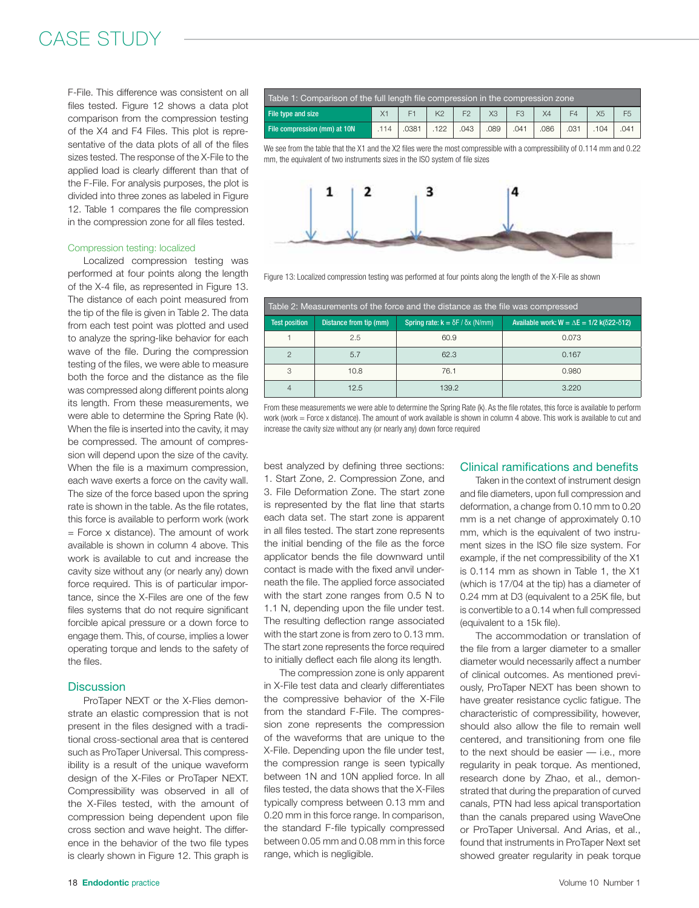# CASE STUDY

F-File. This difference was consistent on all files tested. Figure 12 shows a data plot comparison from the compression testing of the X4 and F4 Files. This plot is representative of the data plots of all of the files sizes tested. The response of the X-File to the applied load is clearly different than that of the F-File. For analysis purposes, the plot is divided into three zones as labeled in Figure 12. Table 1 compares the file compression in the compression zone for all files tested.

#### Compression testing: localized

Localized compression testing was performed at four points along the length of the X-4 file, as represented in Figure 13. The distance of each point measured from the tip of the file is given in Table 2. The data from each test point was plotted and used to analyze the spring-like behavior for each wave of the file. During the compression testing of the files, we were able to measure both the force and the distance as the file was compressed along different points along its length. From these measurements, we were able to determine the Spring Rate (k). When the file is inserted into the cavity, it may be compressed. The amount of compression will depend upon the size of the cavity. When the file is a maximum compression, each wave exerts a force on the cavity wall. The size of the force based upon the spring rate is shown in the table. As the file rotates, this force is available to perform work (work  $=$  Force x distance). The amount of work available is shown in column 4 above. This work is available to cut and increase the cavity size without any (or nearly any) down force required. This is of particular importance, since the X-Files are one of the few files systems that do not require significant forcible apical pressure or a down force to engage them. This, of course, implies a lower operating torque and lends to the safety of the files.

### **Discussion**

ProTaper NEXT or the X-Flies demonstrate an elastic compression that is not present in the files designed with a traditional cross-sectional area that is centered such as ProTaper Universal. This compressibility is a result of the unique waveform design of the X-Files or ProTaper NEXT. Compressibility was observed in all of the X-Files tested, with the amount of compression being dependent upon file cross section and wave height. The difference in the behavior of the two file types is clearly shown in Figure 12. This graph is

| Table 1: Comparison of the full length file compression in the compression zone |     |       |                |                |      |      |     |      |                |                |
|---------------------------------------------------------------------------------|-----|-------|----------------|----------------|------|------|-----|------|----------------|----------------|
| File type and size                                                              |     |       | K <sub>2</sub> | F <sub>2</sub> | XЗ   | F3   | X4  |      | X <sub>5</sub> | F <sub>5</sub> |
| File compression (mm) at 10N                                                    | 114 | .0381 | 122            | .043           | .089 | .041 | 086 | .031 | 104            | 041            |

We see from the table that the X1 and the X2 files were the most compressible with a compressibility of 0.114 mm and 0.22 mm, the equivalent of two instruments sizes in the ISO system of file sizes



Figure 13: Localized compression testing was performed at four points along the length of the X-File as shown

| Table 2: Measurements of the force and the distance as the file was compressed |                        |                                               |                                                                   |  |  |  |  |  |
|--------------------------------------------------------------------------------|------------------------|-----------------------------------------------|-------------------------------------------------------------------|--|--|--|--|--|
| <b>Test position</b>                                                           | Distance from tip (mm) | Spring rate: $k = \delta F / \delta x$ (N/mm) | Available work: $W = \Delta E = 1/2$ k( $\delta$ 22- $\delta$ 12) |  |  |  |  |  |
|                                                                                | 2.5                    | 60.9                                          | 0.073                                                             |  |  |  |  |  |
| $\mathcal{P}$                                                                  | 5.7                    | 62.3                                          | 0.167                                                             |  |  |  |  |  |
| 3                                                                              | 10.8                   | 76.1                                          | 0.980                                                             |  |  |  |  |  |
| $\overline{4}$                                                                 | 12.5                   | 139.2                                         | 3.220                                                             |  |  |  |  |  |

From these measurements we were able to determine the Spring Rate (k). As the file rotates, this force is available to perform work (work = Force x distance). The amount of work available is shown in column 4 above. This work is available to cut and increase the cavity size without any (or nearly any) down force required

best analyzed by defining three sections: 1. Start Zone, 2. Compression Zone, and 3. File Deformation Zone. The start zone is represented by the flat line that starts each data set. The start zone is apparent in all files tested. The start zone represents the initial bending of the file as the force applicator bends the file downward until contact is made with the fixed anvil underneath the file. The applied force associated with the start zone ranges from 0.5 N to 1.1 N, depending upon the file under test. The resulting deflection range associated with the start zone is from zero to 0.13 mm. The start zone represents the force required to initially deflect each file along its length.

The compression zone is only apparent in X-File test data and clearly differentiates the compressive behavior of the X-File from the standard F-File. The compression zone represents the compression of the waveforms that are unique to the X-File. Depending upon the file under test, the compression range is seen typically between 1N and 10N applied force. In all files tested, the data shows that the X-Files typically compress between 0.13 mm and 0.20 mm in this force range. In comparison, the standard F-file typically compressed between 0.05 mm and 0.08 mm in this force range, which is negligible.

#### Clinical ramifications and benefits

Taken in the context of instrument design and file diameters, upon full compression and deformation, a change from 0.10 mm to 0.20 mm is a net change of approximately 0.10 mm, which is the equivalent of two instrument sizes in the ISO file size system. For example, if the net compressibility of the X1 is 0.114 mm as shown in Table 1, the X1 (which is 17/04 at the tip) has a diameter of 0.24 mm at D3 (equivalent to a 25K file, but is convertible to a 0.14 when full compressed (equivalent to a 15k file).

The accommodation or translation of the file from a larger diameter to a smaller diameter would necessarily affect a number of clinical outcomes. As mentioned previously, ProTaper NEXT has been shown to have greater resistance cyclic fatigue. The characteristic of compressibility, however, should also allow the file to remain well centered, and transitioning from one file to the next should be easier — i.e., more regularity in peak torque. As mentioned, research done by Zhao, et al., demonstrated that during the preparation of curved canals, PTN had less apical transportation than the canals prepared using WaveOne or ProTaper Universal. And Arias, et al., found that instruments in ProTaper Next set showed greater regularity in peak torque